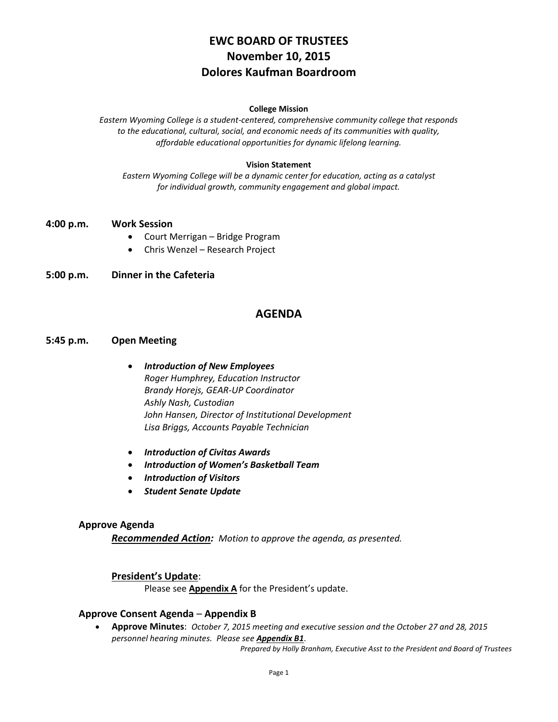# **EWC BOARD OF TRUSTEES November 10, 2015 Dolores Kaufman Boardroom**

#### **College Mission**

*Eastern Wyoming College is a student-centered, comprehensive community college that responds to the educational, cultural, social, and economic needs of its communities with quality, affordable educational opportunities for dynamic lifelong learning.*

#### **Vision Statement**

*Eastern Wyoming College will be a dynamic center for education, acting as a catalyst for individual growth, community engagement and global impact.*

#### **4:00 p.m. Work Session**

- Court Merrigan Bridge Program
- Chris Wenzel Research Project

### **5:00 p.m. Dinner in the Cafeteria**

### **AGENDA**

### **5:45 p.m. Open Meeting**

- *Introduction of New Employees Roger Humphrey, Education Instructor Brandy Horejs, GEAR-UP Coordinator Ashly Nash, Custodian John Hansen, Director of Institutional Development Lisa Briggs, Accounts Payable Technician*
- *Introduction of Civitas Awards*
- *Introduction of Women's Basketball Team*
- *Introduction of Visitors*
- *Student Senate Update*

#### **Approve Agenda**

*Recommended Action: Motion to approve the agenda, as presented.*

### **President's Update**:

Please see **Appendix A** for the President's update.

#### **Approve Consent Agenda** – **Appendix B**

 **Approve Minutes**: *October 7, 2015 meeting and executive session and the October 27 and 28, 2015 personnel hearing minutes. Please see Appendix B1*.

*Prepared by Holly Branham, Executive Asst to the President and Board of Trustees*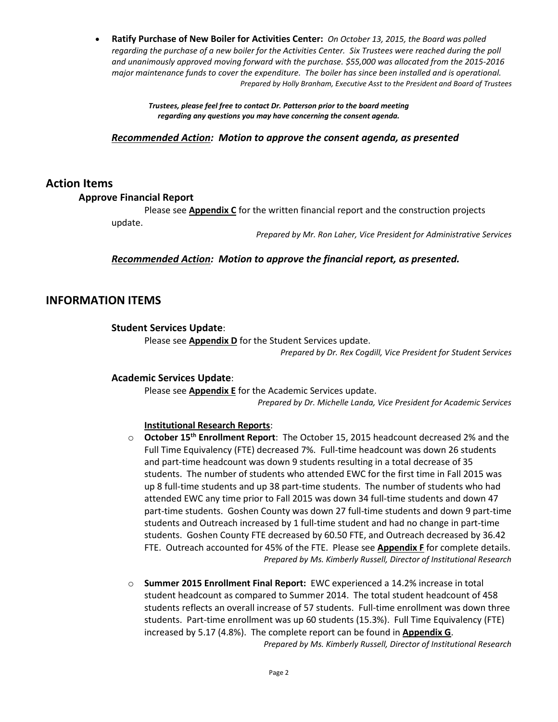**Ratify Purchase of New Boiler for Activities Center:** *On October 13, 2015, the Board was polled regarding the purchase of a new boiler for the Activities Center. Six Trustees were reached during the poll and unanimously approved moving forward with the purchase. \$55,000 was allocated from the 2015-2016 major maintenance funds to cover the expenditure. The boiler has since been installed and is operational. Prepared by Holly Branham, Executive Asst to the President and Board of Trustees*

> *Trustees, please feel free to contact Dr. Patterson prior to the board meeting regarding any questions you may have concerning the consent agenda.*

*Recommended Action: Motion to approve the consent agenda, as presented*

### **Action Items**

### **Approve Financial Report**

Please see **Appendix C** for the written financial report and the construction projects update.

*Prepared by Mr. Ron Laher, Vice President for Administrative Services*

### *Recommended Action: Motion to approve the financial report, as presented.*

# **INFORMATION ITEMS**

### **Student Services Update**:

Please see **Appendix D** for the Student Services update.

*Prepared by Dr. Rex Cogdill, Vice President for Student Services*

### **Academic Services Update**:

Please see **Appendix E** for the Academic Services update. *Prepared by Dr. Michelle Landa, Vice President for Academic Services*

### **Institutional Research Reports**:

- o **October 15th Enrollment Report**: The October 15, 2015 headcount decreased 2% and the Full Time Equivalency (FTE) decreased 7%. Full-time headcount was down 26 students and part-time headcount was down 9 students resulting in a total decrease of 35 students. The number of students who attended EWC for the first time in Fall 2015 was up 8 full-time students and up 38 part-time students. The number of students who had attended EWC any time prior to Fall 2015 was down 34 full-time students and down 47 part-time students. Goshen County was down 27 full-time students and down 9 part-time students and Outreach increased by 1 full-time student and had no change in part-time students. Goshen County FTE decreased by 60.50 FTE, and Outreach decreased by 36.42 FTE. Outreach accounted for 45% of the FTE. Please see **Appendix F** for complete details. *Prepared by Ms. Kimberly Russell, Director of Institutional Research*
- o **Summer 2015 Enrollment Final Report:** EWC experienced a 14.2% increase in total student headcount as compared to Summer 2014. The total student headcount of 458 students reflects an overall increase of 57 students. Full-time enrollment was down three students. Part-time enrollment was up 60 students (15.3%). Full Time Equivalency (FTE) increased by 5.17 (4.8%). The complete report can be found in **Appendix G**. *Prepared by Ms. Kimberly Russell, Director of Institutional Research*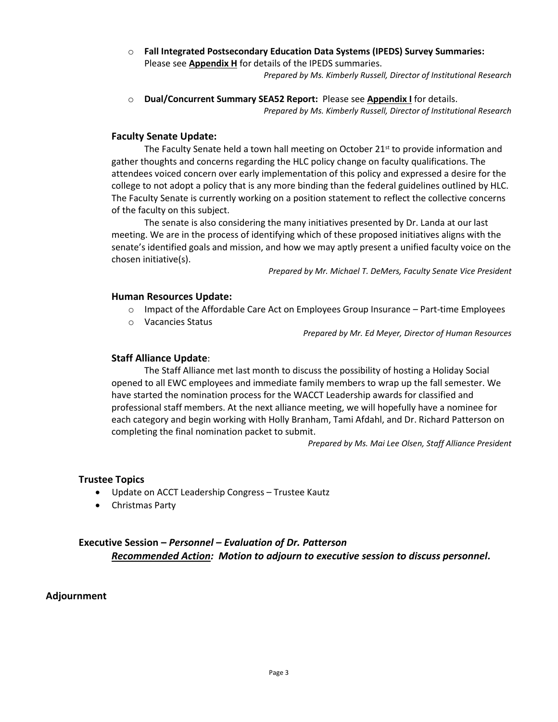o **Fall Integrated Postsecondary Education Data Systems (IPEDS) Survey Summaries:** Please see **Appendix H** for details of the IPEDS summaries.

*Prepared by Ms. Kimberly Russell, Director of Institutional Research*

o **Dual/Concurrent Summary SEA52 Report:** Please see **Appendix I** for details. *Prepared by Ms. Kimberly Russell, Director of Institutional Research*

### **Faculty Senate Update:**

The Faculty Senate held a town hall meeting on October  $21<sup>st</sup>$  to provide information and gather thoughts and concerns regarding the HLC policy change on faculty qualifications. The attendees voiced concern over early implementation of this policy and expressed a desire for the college to not adopt a policy that is any more binding than the federal guidelines outlined by HLC. The Faculty Senate is currently working on a position statement to reflect the collective concerns of the faculty on this subject.

The senate is also considering the many initiatives presented by Dr. Landa at our last meeting. We are in the process of identifying which of these proposed initiatives aligns with the senate's identified goals and mission, and how we may aptly present a unified faculty voice on the chosen initiative(s).

*Prepared by Mr. Michael T. DeMers, Faculty Senate Vice President*

### **Human Resources Update:**

- $\circ$  Impact of the Affordable Care Act on Employees Group Insurance Part-time Employees
- o Vacancies Status

*Prepared by Mr. Ed Meyer, Director of Human Resources*

### **Staff Alliance Update**:

The Staff Alliance met last month to discuss the possibility of hosting a Holiday Social opened to all EWC employees and immediate family members to wrap up the fall semester. We have started the nomination process for the WACCT Leadership awards for classified and professional staff members. At the next alliance meeting, we will hopefully have a nominee for each category and begin working with Holly Branham, Tami Afdahl, and Dr. Richard Patterson on completing the final nomination packet to submit.

*Prepared by Ms. Mai Lee Olsen, Staff Alliance President*

# **Trustee Topics**

- Update on ACCT Leadership Congress Trustee Kautz
- Christmas Party

# **Executive Session –** *Personnel – Evaluation of Dr. Patterson Recommended Action: Motion to adjourn to executive session to discuss personnel.*

# **Adjournment**